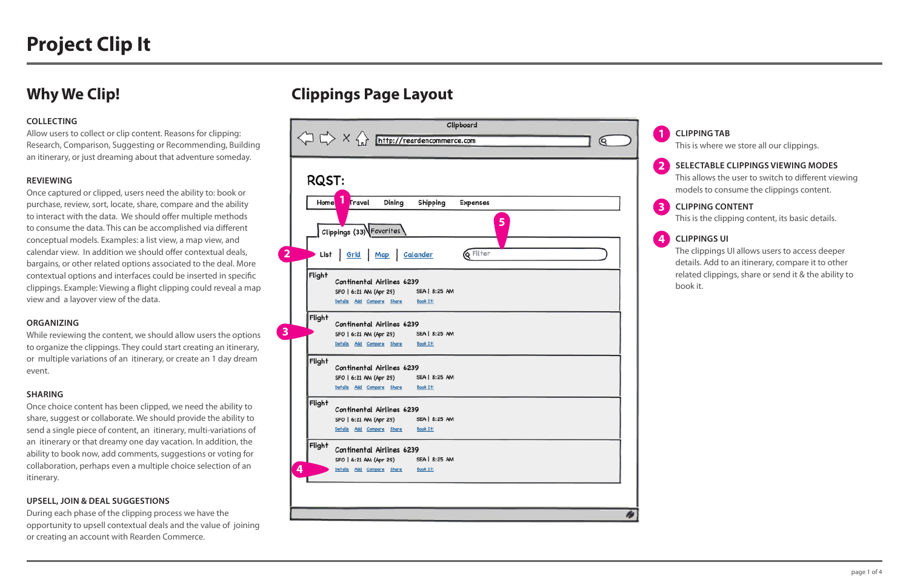#### **COLLECTING**

Allow users to collect or clip content. Reasons for clipping: Research, Comparison, Suggesting or Recommending, Building an itinerary, or just dreaming about that adventure someday.

#### **REVIEWING**

Once captured or clipped, users need the ability to: book or purchase, review, sort, locate, share, compare and the ability to interact with the data. We should offer multiple methods to consume the data. This can be accomplished via different conceptual models. Examples: a list view, a map view, and calendar view. In addition we should offer contextual deals, bargains, or other related options associated to the deal. More contextual options and interfaces could be inserted in specific clippings. Example: Viewing a flight clipping could reveal a map view and a layover view of the data.

#### **ORGANIZING**

While reviewing the content, we should allow users the options to organize the clippings. They could start creating an itinerary, or multiple variations of an itinerary, or create an 1 day dream event.

#### **SHARING**

Once choice content has been clipped, we need the ability to share, suggest or collaborate. We should provide the ability to send a single piece of content, an itinerary, multi-variations of an itinerary or that dreamy one day vacation. In addition, the ability to book now, add comments, suggestions or voting for collaboration, perhaps even a multiple choice selection of an itinerary.

#### **UPSELL, JOIN & DEAL SUGGESTIONS**

During each phase of the clipping process we have the opportunity to upsell contextual deals and the value of joining or creating an account with Rearden Commerce.

### **CLIPPING TAB**

This is where we store all our clippings.

### **CLIPPING CONTENT**

This is the clipping content, its basic details.

### **SELECTABLE CLIPPINGS VIEWING MODES**

This allows the user to switch to different viewing models to consume the clippings content.

### **CLIPPINGS UI**

The clippings UI allows users to access deeper details. Add to an itinerary, compare it to other related clippings, share or send it & the ability to book it.

## **Why We Clip! Clippings Page Layout**

| RQST:  |                                                                               |
|--------|-------------------------------------------------------------------------------|
| Home   | $\mathbf{1}$<br>Travel<br>Dining<br>Shipping<br><b>Expenses</b>               |
|        |                                                                               |
|        | 5 <sup>1</sup><br>Clippings (33) Favorites                                    |
|        | <b>Q</b> Filter                                                               |
|        | List Grid Map Calander                                                        |
| Flight | Continental Airlines 6239                                                     |
|        | SEA   8:25 AM<br>SFO   6:21 AM (Apr 29)                                       |
|        | Details Add Compane Share<br><b>Book It!</b>                                  |
| Flight |                                                                               |
|        | Continental Airlines 6239<br>SEA   8:25 AM<br>SFO   6:21 AM (Apr 29)          |
|        | Details Add Compane Shane Book It!                                            |
| Flight |                                                                               |
|        | Continental Airlines 6239                                                     |
|        | SEA   8:25 AM<br>SFO   6:21 AM (Apr 29)<br>Details Add Compane Shane Book It! |
|        |                                                                               |
| Flight | Continental Airlines 6239                                                     |
|        | SFO   6:21 AM (Apr 29) SEA   8:25 AM                                          |
|        | Details Add Compare Share Book It!                                            |
| Flight | Continental Airlines 6239                                                     |
|        | SEA   8:25 AM<br>SFO   6:21 AM (Apr 29)                                       |
| 4      | Details Add Compane Shane<br><b>Book It!</b>                                  |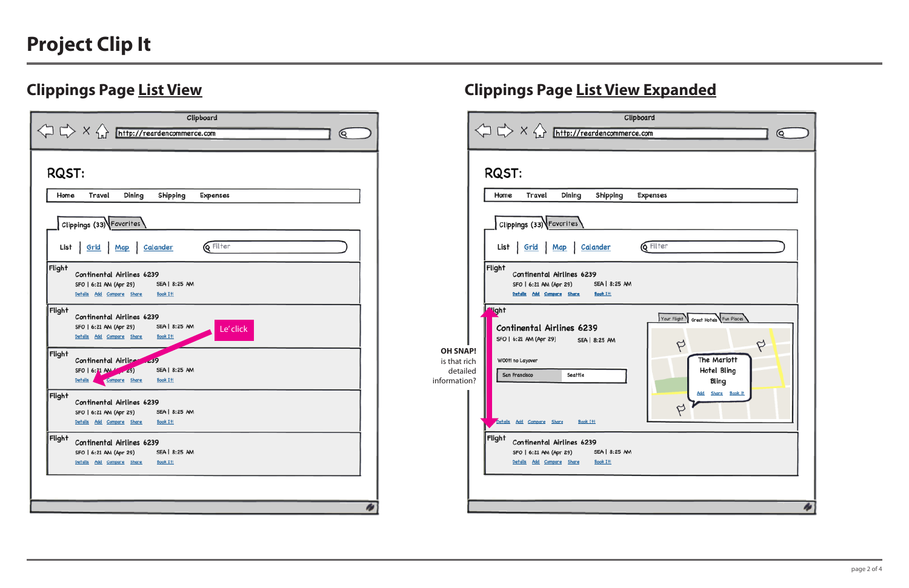# **Project Clip It**

## **Clippings Page List View Clippings Page List View Expanded**

|                                                             | Clipboard<br>$\left\langle \right\rangle$ $\right\langle \right\rangle$ $\times$ $\left\langle \right\rangle$ http://reardencommerce.com<br>Q                                                                                                                                                                                                                                                                                                                                                                                                                                                                                                                                                        |
|-------------------------------------------------------------|------------------------------------------------------------------------------------------------------------------------------------------------------------------------------------------------------------------------------------------------------------------------------------------------------------------------------------------------------------------------------------------------------------------------------------------------------------------------------------------------------------------------------------------------------------------------------------------------------------------------------------------------------------------------------------------------------|
| <b>OH SNAP!</b><br>is that rich<br>detailed<br>information? | RQST:<br>Travel<br>Dining<br>Shipping<br>Home<br><b>Expenses</b><br>Clippings (33) Favorites<br>List   Grid   Map   Calander<br><b>Q</b> Filter<br>Flight<br>Continental Airlines 6239<br>SFO   6:21 AM (Apr 29)<br>SEA   8:25 AM<br>Details Add Compare Share Book It!<br>' <sup>l</sup> ight<br>Great Hotels Fun Places<br>Your Flight<br>Continental Airlines 6239<br>SFO   6:21 AM (Apr 29) SEA   8:25 AM<br>Þ<br>The Mariott<br>W00f! no Layover<br>Hotel Bling<br>San Francisco<br>Seattle<br>Bling<br>Add Share Book it<br>Þ<br>Details Add Compare Share<br>Book It!<br>Flight continental Airlines 6239<br>SEA   8:25 AM<br>SFO   6:21 AM (Apr 29)<br>Details Add Compane Share<br>Book It! |
|                                                             | W                                                                                                                                                                                                                                                                                                                                                                                                                                                                                                                                                                                                                                                                                                    |

| Clipboard<br>$\left\langle \Box \right\rangle$ X $\left\langle \Box \right\rangle$ http://reardencommerce.com<br>Q                          |
|---------------------------------------------------------------------------------------------------------------------------------------------|
| <b>RQST:</b>                                                                                                                                |
| Travel<br>Dining<br>Shipping<br>Home<br><b>Expenses</b>                                                                                     |
| Clippings (33) Favorites                                                                                                                    |
| List Grid Map Calander<br><b>Q</b> Filter                                                                                                   |
| Flight<br>Continental Airlines 6239<br>SEA   8:25 AM<br>SFO   6:21 AM (Apr 29)<br>Details Add Compare Share Book It!                        |
| Flight<br>Continental Airlines 6239<br>SEA   8:25 AM<br>SFO   6:21 AM (Apr 29)<br>Le' click<br>Details Add Compane Share<br><b>Book It!</b> |
| Flight<br>Continental Airlines 239<br>SFO   6:21 AM / 29)<br>SEA   8:25 AM<br>Details Compare Share<br>Book It!                             |
| Flight<br>Continental Airlines 6239<br>SEA   8:25 AM<br>SFO   6:21 AM (Apr 29)<br>Details Add Compane Share<br>Book It!                     |
| Flight<br>Continental Airlines 6239<br>SEA   8:25 AM<br>SFO   6:21 AM (Apr 29)<br>Details Add Compane Share<br><b>Book It!</b>              |
|                                                                                                                                             |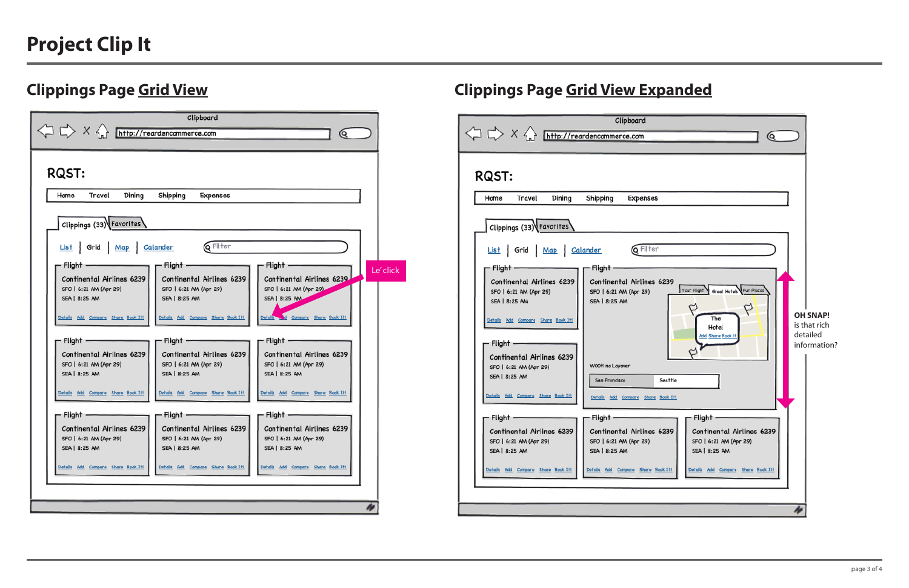# **Project Clip It**

## **Clippings Page Grid View Clippings Page Grid View Expanded**

|                                                                                                | Clipboard                         |
|------------------------------------------------------------------------------------------------|-----------------------------------|
| $\left\langle \Box \right\rangle \times \left\langle \right\rangle$ http://reardencommerce.com |                                   |
|                                                                                                |                                   |
|                                                                                                |                                   |
| RQST:                                                                                          |                                   |
|                                                                                                |                                   |
| Home<br>Travel<br>Dining                                                                       | Shipping<br><b>Expenses</b>       |
|                                                                                                |                                   |
| Clippings (33) Favorites                                                                       |                                   |
|                                                                                                |                                   |
| List Grid Map Calander                                                                         | <b>Q</b> Filter                   |
| - Flight -                                                                                     | Flight .                          |
| Continental Airlines 6239                                                                      | Continental Airlines 623          |
| SFO   6:21 AM (Apr 29)                                                                         | SFO   6:21 AM (Apr 29)            |
| SEA   8:25 AM                                                                                  | SEA   8:25 AM                     |
|                                                                                                |                                   |
| Details Add Compane Share Book It!                                                             |                                   |
|                                                                                                |                                   |
| - Flight -                                                                                     |                                   |
| Continental Airlines 6239                                                                      |                                   |
| SFO   6:21 AM (Apr 29)                                                                         | WOOt! no Layover                  |
| SEA   8:25 AM                                                                                  | San Francisco<br>Sea <sup>+</sup> |
| Details Add Compane Shane Book It!                                                             | Details Add Compane Share Book    |
|                                                                                                |                                   |
| Flight -                                                                                       | Flight –                          |
| Continental Airlines 6239                                                                      | Continental Airlines 623          |
| SFO   6:21 AM (Apr 29)                                                                         | SFO   6:21 AM (Apr 29)            |
| SEA   8:25 AM                                                                                  | SEA   8:25 AM                     |
| Details Add Compare Share Book It!                                                             | Details Add Compane Shane Book I  |
|                                                                                                |                                   |
|                                                                                                |                                   |
|                                                                                                |                                   |
|                                                                                                |                                   |



| Clipboard                                                                                                                                                         |           |  |  |  |  |  |
|-------------------------------------------------------------------------------------------------------------------------------------------------------------------|-----------|--|--|--|--|--|
| $\left\langle \Box \right\rangle$ X $\left\langle \Box \right\rangle$ <b>http://reardencommerce.com</b><br>Q                                                      |           |  |  |  |  |  |
|                                                                                                                                                                   |           |  |  |  |  |  |
|                                                                                                                                                                   |           |  |  |  |  |  |
| <b>RQST:</b>                                                                                                                                                      |           |  |  |  |  |  |
| Home<br>Travel<br>Dining<br>Shipping<br><b>Expenses</b>                                                                                                           |           |  |  |  |  |  |
|                                                                                                                                                                   |           |  |  |  |  |  |
| Clippings (33) Favorites                                                                                                                                          |           |  |  |  |  |  |
|                                                                                                                                                                   |           |  |  |  |  |  |
| List Grid Map Calander Q Filter                                                                                                                                   |           |  |  |  |  |  |
| $\Gamma$ Flight -<br>- Flight –<br>Flight                                                                                                                         | Le' click |  |  |  |  |  |
| Continental Airlines 6239<br>Continental Airlines 6239<br>Continental Airlines 6239                                                                               |           |  |  |  |  |  |
| SFO   6:21 AM (Apr 29)<br>SFO   6:21 AM (Apr 29)<br>SFO   6:21 AM (Apr 29)<br>SEA   8:25 AM<br>SEA   8:25 AM<br>SEA   8:25 AM                                     |           |  |  |  |  |  |
|                                                                                                                                                                   |           |  |  |  |  |  |
| Details and Compane Share Book It!<br>Details Add Compane Share Book It!<br>Details Add Compane Shane Book It!                                                    |           |  |  |  |  |  |
| - Flight -<br>Flight -<br>Flight -                                                                                                                                |           |  |  |  |  |  |
|                                                                                                                                                                   |           |  |  |  |  |  |
| Continental Airlines 6239<br>Continental Airlines 6239<br>Continental Airlines 6239<br>SFO   6:21 AM (Apr 29)<br>SFO   6:21 AM (Apr 29)<br>SFO   6:21 AM (Apr 29) |           |  |  |  |  |  |
| SEA   8:25 AM<br>SEA   8:25 AM<br>SEA   8:25 AM                                                                                                                   |           |  |  |  |  |  |
|                                                                                                                                                                   |           |  |  |  |  |  |
| Details Add Compane Shane Book It!<br>Details Add Compane Shane Book It!<br>Details Add Compane Shane Book It!                                                    |           |  |  |  |  |  |
| - Flight -<br>Flight -<br>Flight                                                                                                                                  |           |  |  |  |  |  |
| Continental Airlines 6239<br>Continental Airlines 6239<br>Continental Airlines 6239                                                                               |           |  |  |  |  |  |
| SFO   6:21 AM (Apr 29)<br>SFO   6:21 AM (Apr 29)<br>SFO   6:21 AM (Apr 29)                                                                                        |           |  |  |  |  |  |
| SEA   8:25 AM<br>SEA   8:25 AM<br>SEA   8:25 AM                                                                                                                   |           |  |  |  |  |  |
| Details Add Compane Shane Book It!<br>Details Add Compane Shane Book It!<br>Details Add Compare Share Book It!                                                    |           |  |  |  |  |  |
|                                                                                                                                                                   |           |  |  |  |  |  |
|                                                                                                                                                                   |           |  |  |  |  |  |
| W                                                                                                                                                                 |           |  |  |  |  |  |
|                                                                                                                                                                   |           |  |  |  |  |  |